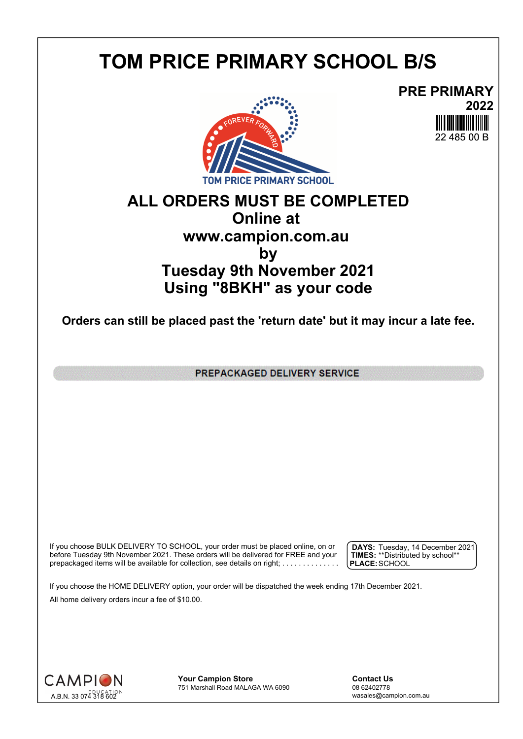## **TOM PRICE PRIMARY SCHOOL B/S**





## **ALL ORDERS MUST BE COMPLETED Online at www.campion.com.au by Tuesday 9th November 2021 Using "8BKH" as your code**

**Orders can still be placed past the 'return date' but it may incur a late fee.**

PREPACKAGED DELIVERY SERVICE

If you choose BULK DELIVERY TO SCHOOL, your order must be placed online, on or  $\int$  DAYS: Tuesday, 1 before Tuesday 9th November 2021. These orders will be delivered for FREE and your  $\;\;\;$  **| TIMES:** \*\*Distribute prepackaged items will be available for collection, see details on right; . . . . . . . . . . . . . . .

**DAYS:** Tuesday, 14 December 2021 **TIMES:** \*\*Distributed by school\*\* **PLACE:**SCHOOL

If you choose the HOME DELIVERY option, your order will be dispatched the week ending 17th December 2021. All home delivery orders incur a fee of \$10.00.



**Your Campion Store**<br>
751 Marshall Road MALAGA WA 6090<br>
08 62402778 751 Marshall Road MALAGA WA 6090

wasales@campion.com.au